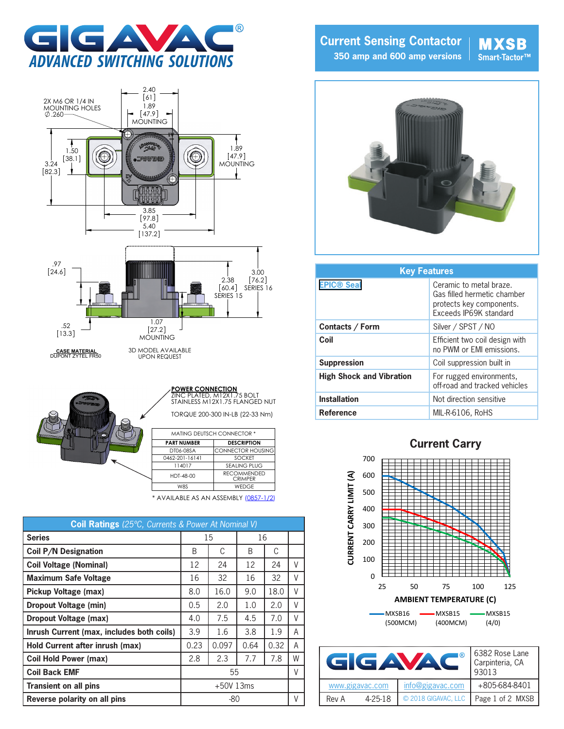





| <b>MATING DEUTSCH CONNECTOR *</b> |                                      |  |  |  |
|-----------------------------------|--------------------------------------|--|--|--|
| <b>PART NUMBER</b>                | <b>DESCRIPTION</b>                   |  |  |  |
| DT06-08SA                         | <b>CONNECTOR HOUSING</b>             |  |  |  |
| 0462-201-16141                    | <b>SOCKET</b>                        |  |  |  |
| 114017                            | SEALING PLUG                         |  |  |  |
| HDT-48-00                         | <b>RECOMMENDED</b><br><b>CRIMPFR</b> |  |  |  |

\* AVAILABLE AS AN ASSEMBLY [\(0857-1/2\)](http://www.gigavac.com/sites/default/files/catalog/spec_sheet/0857.pdf)

| <b>Coil Ratings</b> (25°C, Currents & Power At Nominal V) |               |             |      |      |   |
|-----------------------------------------------------------|---------------|-------------|------|------|---|
| <b>Series</b>                                             |               | 15          | 16   |      |   |
| <b>Coil P/N Designation</b>                               | B             | C           | B    | C    |   |
| <b>Coil Voltage (Nominal)</b>                             | 12            | 24          | 12   | 24   | V |
| <b>Maximum Safe Voltage</b>                               | 16            | 32          | 16   | 32   | V |
| <b>Pickup Voltage (max)</b>                               | 8.0           | 16.0        | 9.0  | 18.0 | V |
| <b>Dropout Voltage (min)</b>                              | $0.5^{\circ}$ | 2.0         | 1.0  | 2.0  | V |
| Dropout Voltage (max)                                     | 4.0           | 7.5         | 4.5  | 7.0  | V |
| Inrush Current (max, includes both coils)                 | 3.9           | 1.6         | 3.8  | 1.9  | A |
| Hold Current after inrush (max)                           | 0.23          | 0.097       | 0.64 | 0.32 | A |
| <b>Coil Hold Power (max)</b>                              | 2.8           | 2.3         | 7.7  | 7.8  | W |
| <b>Coil Back EMF</b>                                      |               | 55          |      |      | V |
| <b>Transient on all pins</b>                              |               | $+50V$ 13ms |      |      |   |
| Reverse polarity on all pins                              |               | -80         |      |      | V |
|                                                           |               |             |      |      |   |

**Current Sensing Contactor 350 amp and 600 amp versions**

## **MXSB**



| <b>Key Features</b>             |                                                                                                              |  |  |
|---------------------------------|--------------------------------------------------------------------------------------------------------------|--|--|
| <b>EPIC® Seal</b>               | Ceramic to metal braze.<br>Gas filled hermetic chamber<br>protects key components.<br>Exceeds IP69K standard |  |  |
| Contacts / Form                 | Silver / SPST / NO                                                                                           |  |  |
| Coil                            | Efficient two coil design with<br>no PWM or FMI emissions.                                                   |  |  |
| <b>Suppression</b>              | Coil suppression built in                                                                                    |  |  |
| <b>High Shock and Vibration</b> | For rugged environments,<br>off-road and tracked vehicles                                                    |  |  |
| <b>Installation</b>             | Not direction sensitive                                                                                      |  |  |
| <b>Reference</b>                | MIL-R-6106, RoHS                                                                                             |  |  |



| I®<br>GAVA |                 |                     | 6382 Rose Lane<br>Carpinteria, CA<br>93013 |  |
|------------|-----------------|---------------------|--------------------------------------------|--|
|            | www.gigavac.com | info@gigavac.com    | +805-684-8401                              |  |
| Rev A      | $4 - 25 - 18$   | © 2018 GIGAVAC, LLC | Page 1 of 2 MXSB                           |  |